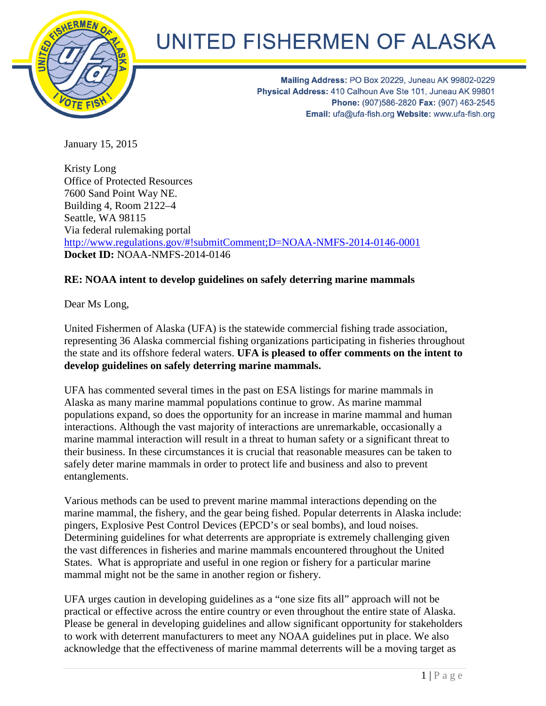

## UNITED FISHERMEN OF ALASKA

Mailing Address: PO Box 20229, Juneau AK 99802-0229 Physical Address: 410 Calhoun Ave Ste 101, Juneau AK 99801 Phone: (907)586-2820 Fax: (907) 463-2545 Email: ufa@ufa-fish.org Website: www.ufa-fish.org

January 15, 2015

Kristy Long Office of Protected Resources 7600 Sand Point Way NE. Building 4, Room 2122–4 Seattle, WA 98115 Via federal rulemaking portal <http://www.regulations.gov/#!submitComment;D=NOAA-NMFS-2014-0146-0001> **Docket ID:** NOAA-NMFS-2014-0146

## **RE: NOAA intent to develop guidelines on safely deterring marine mammals**

Dear Ms Long,

United Fishermen of Alaska (UFA) is the statewide commercial fishing trade association, representing 36 Alaska commercial fishing organizations participating in fisheries throughout the state and its offshore federal waters. **UFA is pleased to offer comments on the intent to develop guidelines on safely deterring marine mammals.**

UFA has commented several times in the past on ESA listings for marine mammals in Alaska as many marine mammal populations continue to grow. As marine mammal populations expand, so does the opportunity for an increase in marine mammal and human interactions. Although the vast majority of interactions are unremarkable, occasionally a marine mammal interaction will result in a threat to human safety or a significant threat to their business. In these circumstances it is crucial that reasonable measures can be taken to safely deter marine mammals in order to protect life and business and also to prevent entanglements.

Various methods can be used to prevent marine mammal interactions depending on the marine mammal, the fishery, and the gear being fished. Popular deterrents in Alaska include: pingers, Explosive Pest Control Devices (EPCD's or seal bombs), and loud noises. Determining guidelines for what deterrents are appropriate is extremely challenging given the vast differences in fisheries and marine mammals encountered throughout the United States. What is appropriate and useful in one region or fishery for a particular marine mammal might not be the same in another region or fishery.

UFA urges caution in developing guidelines as a "one size fits all" approach will not be practical or effective across the entire country or even throughout the entire state of Alaska. Please be general in developing guidelines and allow significant opportunity for stakeholders to work with deterrent manufacturers to meet any NOAA guidelines put in place. We also acknowledge that the effectiveness of marine mammal deterrents will be a moving target as